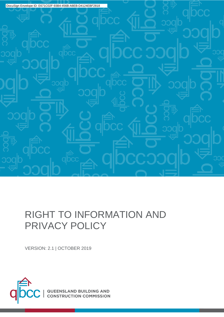

# RIGHT TO INFORMATION AND PRIVACY POLICY

VERSION: 2.1 | OCTOBER 2019

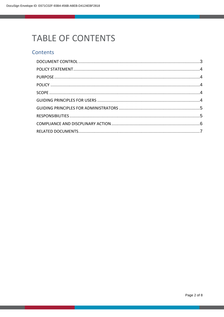# **TABLE OF CONTENTS**

#### Contents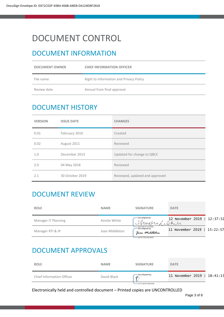# <span id="page-2-0"></span>DOCUMENT CONTROL

# DOCUMENT INFORMATION

| <b>DOCUMENT OWNER</b> | <b>CHIEF INFORMATION OFFICER</b>        |
|-----------------------|-----------------------------------------|
| File name             | Right to Information and Privacy Policy |
| Review date           | Annual from final approval              |

# DOCUMENT HISTORY

| <b>VERSION</b> | <b>ISSUE DATE</b> | <b>CHANGES</b>                 |
|----------------|-------------------|--------------------------------|
| 0.01           | February 2010     | Created                        |
| 0.02           | August 2011       | Reviewed                       |
| 1.0            | December 2013     | Updated for change to QBCC     |
| 2.0            | 04 May 2018       | Reviewed                       |
| 2.1            | 30 October 2019   | Reviewed, updated and approved |

# DOCUMENT REVIEW

| <b>ROLE</b>         | <b>NAME</b>    | <b>SIGNATURE</b>                                        | <b>DATE</b>                    |          |
|---------------------|----------------|---------------------------------------------------------|--------------------------------|----------|
| Manager IT Planning | Ainslie White  | -DocuSigned by:<br>America.                             | 12 November 2019<br>Ahre       | 12:37:52 |
| Manager RTI & IP    | Joan Middleton | $-86A3FB7FE87545E$<br>-DocuSigned by:<br>Joan Middleton | November 2019   15:22:57<br>11 |          |
|                     |                | -5474F7D209A3499                                        |                                |          |

# DOCUMENT APPROVALS

| <b>ROLE</b>               | <b>NAME</b> | <b>SIGNATURE</b>        | <b>DATE</b>      |          |
|---------------------------|-------------|-------------------------|------------------|----------|
| Chief Information Officer | David Black | - DocuSigned by:<br>.∆∖ | 11 November 2019 | 18:41:13 |
|                           |             | -B72CB436E95040B        |                  |          |

Electronically held and controlled document – Printed copies are UNCONTROLLED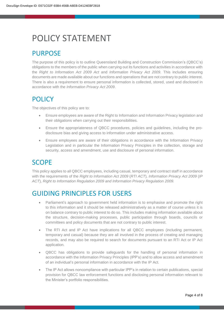# <span id="page-3-0"></span>POLICY STATEMENT

### <span id="page-3-1"></span>PURPOSE

The purpose of this policy is to outline Queensland Building and Construction Commission's (QBCC's) obligations to the members of the public when carrying out its functions and activities in accordance with the *Right to Information Act 2009 Act* and *Information Privacy Act 2009.* This includes ensuring documents are made available about our functions and operations that are not contrary to public interest. There is also a requirement to ensure personal information is collected, stored, used and disclosed in accordance with the *Information Privacy Act 2009*.

### <span id="page-3-2"></span>POLICY

The objectives of this policy are to:

- Ensure employees are aware of the Right to Information and Information Privacy legislation and their obligations when carrying out their responsibilities.
- Ensure the appropriateness of QBCC procedures, policies and guidelines, including the prodisclosure bias and giving access to information under administrative access.
- Ensure employees are aware of their obligations in accordance with the Information Privacy Legislation and in particular the Information Privacy Principles in the collection, storage and security, access and amendment, use and disclosure of personal information.

### <span id="page-3-3"></span>SCOPE

This policy applies to all QBCC employees, including casual, temporary and contract staff in accordance with the requirements of the *Right to Information Act 2009* (*RTI ACT*)*, Information Privacy Act 2009* (*IP ACT*)*, Right to Information Regulation 2009 and Information Privacy Regulation 2009.*

### <span id="page-3-4"></span>GUIDING PRINCIPLES FOR USERS

- Parliament's approach to government held information is to emphasise and promote the right to this information and it should be released administratively as a matter of course unless it is on balance contrary to public interest to do so. This includes making information available about the structure, decision-making processes, public participation through boards, councils or committees and policy documents that are not contrary to public interest.
- The RTI Act and IP Act have implications for all QBCC employees (including permanent, temporary and casual) because they are all involved in the process of creating and managing records, and may also be required to search for documents pursuant to an RTI Act or IP Act application.
- QBCC has obligations to provide safeguards for the handling of personal information in accordance with the Information Privacy Principles (IPP's) and to allow access and amendment of an individual's personal information in accordance with the IP Act.
- The IP Act allows noncompliance with particular IPP's in relation to certain publications, special provision for QBCC law enforcement functions and disclosing personal information relevant to the Minister's portfolio responsibilities.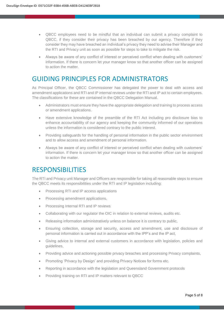- QBCC employees need to be mindful that an individual can submit a privacy complaint to QBCC, if they consider their privacy has been breached by our agency. Therefore if they consider they may have breached an individual's privacy they need to advise their Manager and the RTI and Privacy unit as soon as possible for steps to take to mitigate the risk.
- Always be aware of any conflict of interest or perceived conflict when dealing with customers' information. If there is concern let your manager know so that another officer can be assigned to action the matter.

#### <span id="page-4-0"></span>GUIDING PRINCIPLES FOR ADMINISTRATORS

As Principal Officer, the QBCC Commissioner has delegated the power to deal with access and amendment applications and RTI and IP internal reviews under the RTI and IP act to certain employees. The classifications for these are contained in the QBCC Delegation Manual.

- Administrators must ensure they have the appropriate delegation and training to process access or amendment applications.
- Have extensive knowledge of the preamble of the RTI Act including pro disclosure bias to enhance accountability of our agency and keeping the community informed of our operations unless the information is considered contrary to the public interest.
- Providing safeguards for the handling of personal information in the public sector environment and to allow access and amendment of personal information.
- Always be aware of any conflict of interest or perceived conflict when dealing with customers' information. If there is concern let your manager know so that another officer can be assigned to action the matter.

#### <span id="page-4-1"></span>RESPONSIBILITIES

The RTI and Privacy unit Manager and Officers are responsible for taking all reasonable steps to ensure the QBCC meets its responsibilities under the RTI and IP legislation including:

- Processing RTI and IP access applications
- Processing amendment applications,
- Processing Internal RTI and IP reviews
- Collaborating with our regulator the OIC in relation to external reviews, audits etc.
- Releasing information administratively unless on balance it is contrary to public,
- Ensuring collection, storage and security, access and amendment, use and disclosure of personal information is carried out in accordance with the IPP's and the IP act,
- Giving advice to internal and external customers in accordance with legislation, policies and guidelines,
- Providing advice and actioning possible privacy breaches and processing Privacy complaints,
- Promoting 'Privacy by Design' and providing Privacy Notices for forms etc.
- Reporting in accordance with the legislation and Queensland Government protocols
- Providing training on RTI and IP matters relevant to QBCC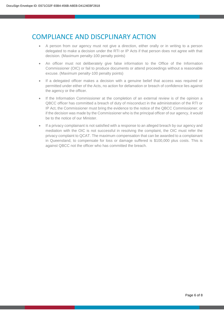#### <span id="page-5-0"></span>COMPLIANCE AND DISCPLINARY ACTION

- A person from our agency must not give a direction, either orally or in writing to a person delegated to make a decision under the RTI or IP Acts if that person does not agree with that decision. (Maximum penalty-100 penalty points)
- An officer must not deliberately give false information to the Office of the Information Commissioner (OIC) or fail to produce documents or attend proceedings without a reasonable excuse. (Maximum penalty-100 penalty points)
- If a delegated officer makes a decision with a genuine belief that access was required or permitted under either of the Acts, no action for defamation or breach of confidence lies against the agency or the officer.
- If the Information Commissioner at the completion of an external review is of the opinion a QBCC officer has committed a breach of duty of misconduct in the administration of the RTI or IP Act, the Commissioner must bring the evidence to the notice of the QBCC Commissioner; or if the decision was made by the Commissioner who is the principal officer of our agency, it would be to the notice of our Minister.
- If a privacy complainant is not satisfied with a response to an alleged breach by our agency and mediation with the OIC is not successful in resolving the complaint, the OIC must refer the privacy complaint to QCAT. The maximum compensation that can be awarded to a complainant in Queensland, to compensate for loss or damage suffered is \$100,000 plus costs. This is against QBCC not the officer who has committed the breach.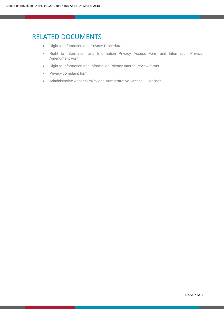#### <span id="page-6-0"></span>RELATED DOCUMENTS

- Right to Information and Privacy Procedure
- Right to Information and Information Privacy Access Form and Information Privacy Amendment Form
- Right to Information and Information Privacy Internal review forms
- Privacy complaint form
- Administrative Access Policy and Administrative Access Guidelines